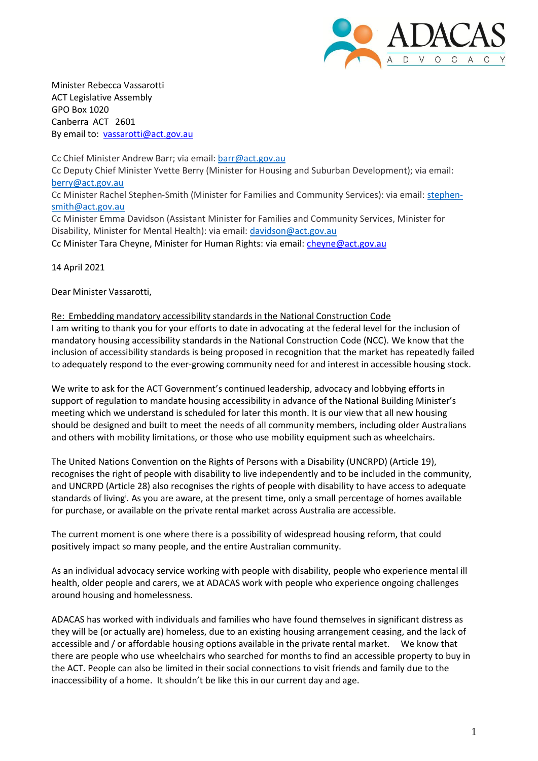

Minister Rebecca Vassarotti ACT Legislative Assembly GPO Box 1020 Canberra ACT 2601 By email to: [vassarotti@act.gov.au](mailto:vassarotti@act.gov.au)

Cc Chief Minister Andrew Barr; via email: [barr@act.gov.au](mailto:barr@act.gov.au) Cc Deputy Chief Minister Yvette Berry (Minister for Housing and Suburban Development); via email: [berry@act.gov.au](mailto:berry@act.gov.au) Cc Minister Rachel Stephen-Smith (Minister for Families and Community Services): via email: stephen[smith@act.gov.au](mailto:smith@act.gov.au) Cc Minister Emma Davidson (Assistant Minister for Families and Community Services, Minister for Disability, Minister for Mental Health): via email: [davidson@act.gov.au](mailto:davidson@act.gov.au) Cc Minister Tara Cheyne, Minister for Human Rights: via email: [cheyne@act.gov.au](mailto:cheyne@act.gov.au)

14 April 2021

Dear Minister Vassarotti,

## Re: Embedding mandatory accessibility standards in the National Construction Code

I am writing to thank you for your efforts to date in advocating at the federal level for the inclusion of mandatory housing accessibility standards in the National Construction Code (NCC). We know that the inclusion of accessibility standards is being proposed in recognition that the market has repeatedly failed to adequately respond to the ever-growing community need for and interest in accessible housing stock.

We write to ask for the ACT Government's continued leadership, advocacy and lobbying efforts in support of regulation to mandate housing accessibility in advance of the National Building Minister's meeting which we understand is scheduled for later this month. It is our view that all new housing should be designed and built to meet the needs of all community members, including older Australians and others with mobility limitations, or those who use mobility equipment such as wheelchairs.

The United Nations Convention on the Rights of Persons with a Disability (UNCRPD) (Article 19), recognises the right of people with disability to live independently and to be included in the community, and UNCRPD (Article 28) also recognises the rights of people with disability to have access to adequate standards of living<sup>i</sup>. As you are aware, at the present time, only a small percentage of homes available for purchase, or available on the private rental market across Australia are accessible.

The current moment is one where there is a possibility of widespread housing reform, that could positively impact so many people, and the entire Australian community.

As an individual advocacy service working with people with disability, people who experience mental ill health, older people and carers, we at ADACAS work with people who experience ongoing challenges around housing and homelessness.

ADACAS has worked with individuals and families who have found themselves in significant distress as they will be (or actually are) homeless, due to an existing housing arrangement ceasing, and the lack of accessible and / or affordable housing options available in the private rental market. We know that there are people who use wheelchairs who searched for months to find an accessible property to buy in the ACT. People can also be limited in their social connections to visit friends and family due to the inaccessibility of a home. It shouldn't be like this in our current day and age.